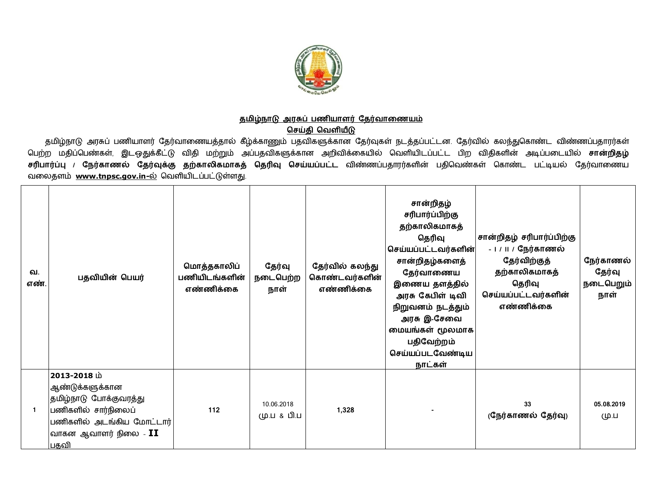

## <u>தமிழ்நாடு அரசுப் பணியாளர் தேர்வாணையம்</u>

**செய்தி வெளியீடு** 

தமிழ்நாடு அரசுப் பணியாளர் தேர்வாணையத்தால் கீழ்க்காணும் பதவிகளுக்கான தேர்வுகள் நடத்தப்பட்டன. தேர்வில் கலந்துகொண்ட விண்ணப்பதாரர்கள் பெற்ற மதிப்பெண்கள், இடஒதுக்கீட்டு விதி மற்றும் அப்பதவிகளுக்கான அறிவிக்கையில் வெளியிடப்பட்ட பிற விதிகளின் அடிப்படையில் **சான்றிதழ்** சரிபார்ப்பு / நேர்காணல் தேர்வுக்கு தற்காலிகமாகத் தெரிவு செய்யப்பட்ட விண்ணப்பதாரர்களின் பதிவெண்கள் கொண்ட பட்டியல் தேர்வாணைய வலைதளம் [www.tnpsc.gov.in-](http://www.tnpsc.gov.in-)ல் வெளியிடப்பட்டுள்ளது.

| வ.<br>எண் | பதவியின் பெயர்                                                                                                                                             | மொத்தகாலிப்<br>பணியிடங்களின்<br>எண்ணிக்கை | தேர்வு<br>நடைபெற்ற<br>நாள் | தேர்வில் கலந்து<br>கொண்டவர்களின்<br>எண்ணிக்கை | சான்றிதழ்<br>சரிபார்ப்பிற்கு<br>தற்காலிகமாகத்<br>தெரிவு<br>செய்யப்பட்டவர்களின்<br>சான்றிதழ்களைத்<br>தேர்வாணைய<br>இணைய தளத்தில்<br>அரசு கேபிள் டிவி<br>நிறுவனம் நடத்தும்<br>அரசு இ-சேவை<br>மையங்கள் மூலமாக<br>பதிவேற்றம்<br>செய்யப்படவேண்டிய<br>நாட்கள் | சான்றிதழ் சரிபார்ப்பிற்கு<br>- ப / ப / நேர்காணல்<br>தேர்விற்குத்<br>தற்காலிகமாகத்<br>தெரிவு<br>செய்யப்பட்டவர்களின்<br>எண்ணிக்கை | நேர்காணல்<br>தேர்வு<br>நடைபெறும்<br>நாள் |
|-----------|------------------------------------------------------------------------------------------------------------------------------------------------------------|-------------------------------------------|----------------------------|-----------------------------------------------|--------------------------------------------------------------------------------------------------------------------------------------------------------------------------------------------------------------------------------------------------------|---------------------------------------------------------------------------------------------------------------------------------|------------------------------------------|
| -1        | 2013-2018 ம்<br>ஆண்டுக்களுக்கான<br>தமிழ்நாடு போக்குவரத்து<br>பணிகளில் சார்நிலைப்<br>பணிகளில் அடங்கிய மோட்டார்<br> வாகன ஆவாளர் நிலை - $\mathbf{II}$<br>பதவி | 112                                       | 10.06.2018<br>மு.ப & பி.ப  | 1,328                                         |                                                                                                                                                                                                                                                        | 33<br>(நேர்காணல் தேர்வு)                                                                                                        | 05.08.2019<br>மு.ப                       |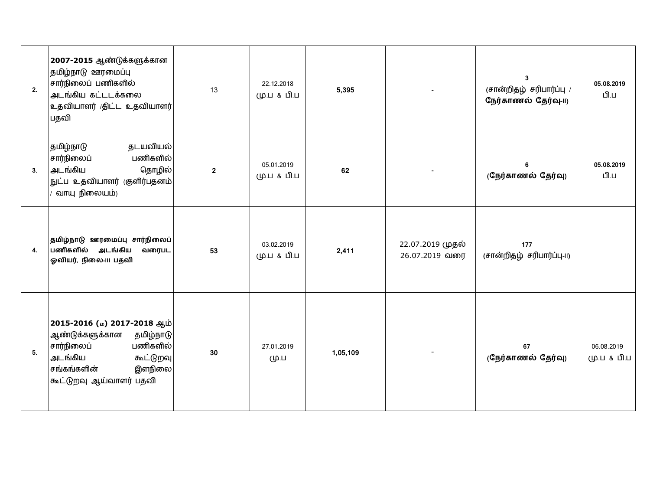| 2. | 2007-2015 ஆண்டுக்களுக்கான<br>தமிழ்நாடு ஊரமைப்பு<br>சார்நிலைப் பணிகளில்<br>அடங்கிய கட்டடக்கலை<br>உதவியாளர் கிட்ட உதவியாளர்<br>பதவி                                 | 13             | 22.12.2018<br>மு.ப & பி.ப | 5,395    |                                    | 3<br>(சான்றிதழ் சரிபார்ப்பு /<br>நேர்காணல் தேர்வு-11) | 05.08.2019<br>பி.ப        |
|----|-------------------------------------------------------------------------------------------------------------------------------------------------------------------|----------------|---------------------------|----------|------------------------------------|-------------------------------------------------------|---------------------------|
| 3. | தடயவியல்<br>தமிழ்நாடு<br>பணிகளில்<br>சார்நிலைப்<br>அடங்கிய<br>தொழில்<br>நுட்ப உதவியாளர் (குளிர்பதனம்<br>வாயு நிலையம்)                                             | $\overline{2}$ | 05.01.2019<br>மு.ப & பி.ப | 62       |                                    | 6<br>(நேர்காணல் தேர்வு)                               | 05.08.2019<br>பி.ப        |
| 4. | தமிழ்நாடு ஊரமைப்பு சார்நிலைப்<br>பணிகளில் அடங்கிய<br>வரைபட<br>ஓவியர், நிலை-ய பதவி                                                                                 | 53             | 03.02.2019<br>மு.ப & பி.ப | 2,411    | 22.07.2019 முதல்<br>26.07.2019 வரை | 177<br>(சான்றிதழ் சரிபார்ப்பு-II)                     |                           |
| 5. | 2015-2016 (ம) 2017-2018 ஆம்<br>ஆண்டுக்களுக்கான<br>தமிழ்நாடு<br>பணிகளில்<br>சார்நிலைப்<br>அடங்கிய<br>கூட்டுறவு<br>சங்கங்களின்<br>இளநிலை<br>கூட்டுறவு ஆய்வாளர் பதவி | 30             | 27.01.2019<br>மு.ப        | 1,05,109 |                                    | 67<br>(நேர்காணல் தேர்வு)                              | 06.08.2019<br>மு.ப & பி.ப |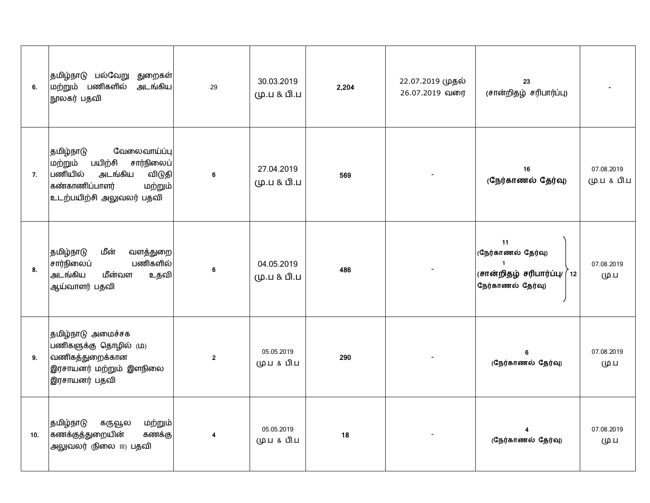| 6.  | தமிழ்நாடு பல்வேறு துறைகள் <br>மற்றும் பணிகளில்<br>அடங்கிய<br>நூலகர் பதவி                                                                                | 29             | 30.03.2019<br>மு.ப & பி.ப | 2,204 | 22.07.2019 முதல்<br>26.07.2019 வரை | 23<br>(சான்றிதழ் சரிபார்ப்பு)                                                                              |                           |
|-----|---------------------------------------------------------------------------------------------------------------------------------------------------------|----------------|---------------------------|-------|------------------------------------|------------------------------------------------------------------------------------------------------------|---------------------------|
| 7.  | வேலைவாய்ப்பு<br> தமிழ்நாடு<br>சார்நிலைப்<br>பயிற்சி<br>மற்றும்<br>பணியில்<br>அடங்கிய<br>விடுதி<br>கண்காணிப்பாளர்<br>மற்றும்<br>உடற்பயிற்சி அலுவலர் பதவி | 6              | 27.04.2019<br>மு.ப & பி.ப | 569   |                                    | 16<br>(நேர்காணல் தேர்வு)                                                                                   | 07.08.2019<br>மு.ப & பி.ப |
| 8.  | தமிழ்நாடு<br>மீன்<br>வளத்துறை<br>பணிகளில்<br>சார்நிலைப்<br>அடங்கிய<br>மீன்வள<br>உதவி<br>ஆய்வாளர் பதவி                                                   | 6              | 04.05.2019<br>மு.ப & பி.ப | 486   |                                    | 11<br>(நேர்காணல் தேர்வு)<br>$\mathbf{1}$<br>$\vert$ (சான்றிதழ் சரிபார்ப்பு/ (<br>$12$<br>நேர்காணல் தேர்வு) | 07.08.2019<br>மு.ப        |
| 9.  | தமிழ்நாடு அமைச்சக<br>பணிகளுக்கு தொழில் (ம)<br>வணிகத்துறைக்கான<br>இரசாயனர் மற்றும் இளநிலை<br>இரசாயனர் பதவி                                               | $\overline{2}$ | 05.05.2019<br>மு.ப & பி.ப | 290   |                                    | 6<br>(நேர்காணல் தேர்வு)                                                                                    | 07.08.2019<br>மு.ப        |
| 10. | தமிழ்நாடு<br>கருவூல<br>மற்றும்<br>கணக்குத்துறையின்<br>கணக்கு<br>அலுவலர் (நிலை III) பதவி                                                                 | 4              | 05.05.2019<br>மு.ப & பி.ப | 18    |                                    | (நேர்காணல் தேர்வு)                                                                                         | 07.08.2019<br>மு.ப        |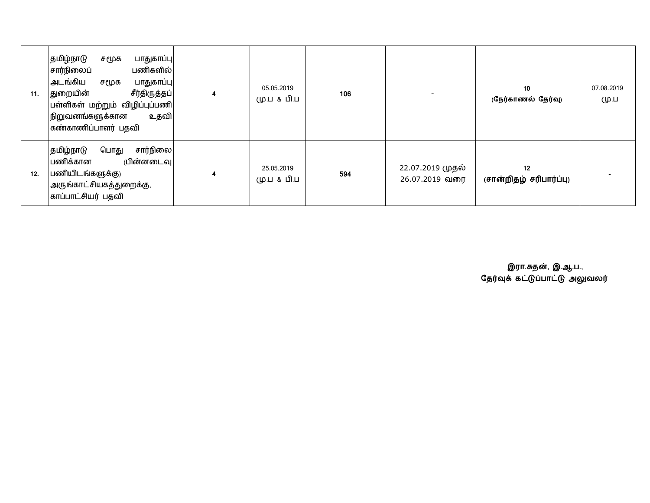| 11. | தமிழ்நாடு<br>பாதுகாப்பு<br>சமூக<br>சார்நிலைப்<br>பணிகளில்<br>அடங்கிய<br>பாதுகாப்பு<br>சமூக<br>சீர்திருத்தப் <br> துறையின்<br>பள்ளிகள் மற்றும் விழிப்புப்பணி<br>நிறுவனங்களுக்கான<br>உதவி<br>கண்காணிப்பாளர் பதவி | $\overline{4}$ | 05.05.2019<br>மு.ப & பி.ப | 106 |                                    | 10<br>(நேர்காணல் தேர்வு)      | 07.08.2019<br>மு.ப |
|-----|----------------------------------------------------------------------------------------------------------------------------------------------------------------------------------------------------------------|----------------|---------------------------|-----|------------------------------------|-------------------------------|--------------------|
| 12. | சார்நிலை <br>தமிழ்நாடு<br>பொது<br>(பின்னடைவு<br>பணிக்கான<br>பணியிடங்களுக்கு)<br>அருங்காட்சியகத்துறைக்கு,<br>காப்பாட்சியர் பதவி                                                                                 | 4              | 25.05.2019<br>மு.ப & பி.ப | 594 | 22.07.2019 முதல்<br>26.07.2019 வரை | 12<br>(சான்றிதழ் சரிபார்ப்பு) |                    |

**இரா.சுதன, இ.ஆ.ப.,** தேரவுக கட்டுப்பாட்டு அலுவலர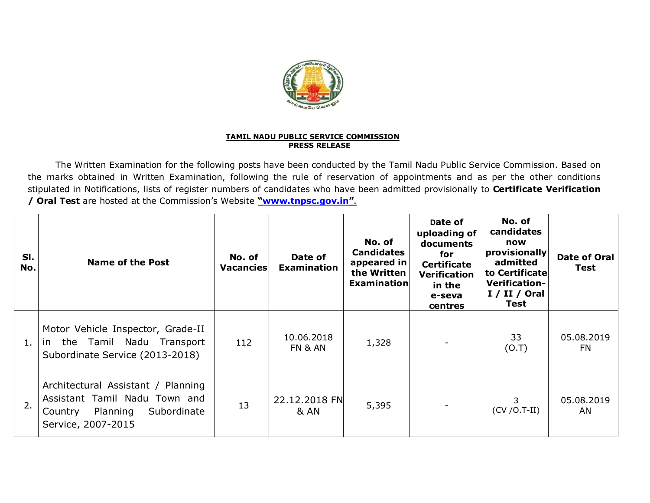

## **TAMIL NADU PUBLIC SERVICE COMMISSION PRESS RELEASE**

The Written Examination for the following posts have been conducted by the Tamil Nadu Public Service Commission. Based on the marks obtained in Written Examination, following the rule of reservation of appointments and as per the other conditions stipulated in Notifications, lists of register numbers of candidates who have been admitted provisionally to **Certificate Verification / Oral Test** are hosted at the Commission's Website **["www.tnpsc.gov.in](http://www.tnpsc.gov.in)"**.

| SI.<br>No. | <b>Name of the Post</b>                                                                                                         | No. of<br>Vacancies | Date of<br><b>Examination</b>    | No. of<br><b>Candidates</b><br>appeared in<br>the Written<br>Examination | Date of<br>uploading of<br>documents<br>for<br><b>Certificate</b><br><b>Verification</b><br>in the<br>e-seva<br>centres | No. of<br>candidates<br>now<br>provisionally<br>admitted<br>to Certificate<br>Verification-<br>I / II / Ord<br>Test | <b>Date of Oral</b><br>Test |
|------------|---------------------------------------------------------------------------------------------------------------------------------|---------------------|----------------------------------|--------------------------------------------------------------------------|-------------------------------------------------------------------------------------------------------------------------|---------------------------------------------------------------------------------------------------------------------|-----------------------------|
| 1.         | Motor Vehicle Inspector, Grade-II<br>the Tamil Nadu Transport<br>in in<br>Subordinate Service (2013-2018)                       | 112                 | 10.06.2018<br>FN & AN            | 1,328                                                                    |                                                                                                                         | 33<br>(0.7)                                                                                                         | 05.08.2019<br><b>FN</b>     |
| 2.         | Architectural Assistant / Planning<br>Assistant Tamil Nadu Town and<br>Planning<br>Subordinate<br>Country<br>Service, 2007-2015 | 13                  | 22.12.2018 FN<br><b>&amp; AN</b> | 5,395                                                                    |                                                                                                                         | 3<br>$(CV / O.T-II)$                                                                                                | 05.08.2019<br>AN            |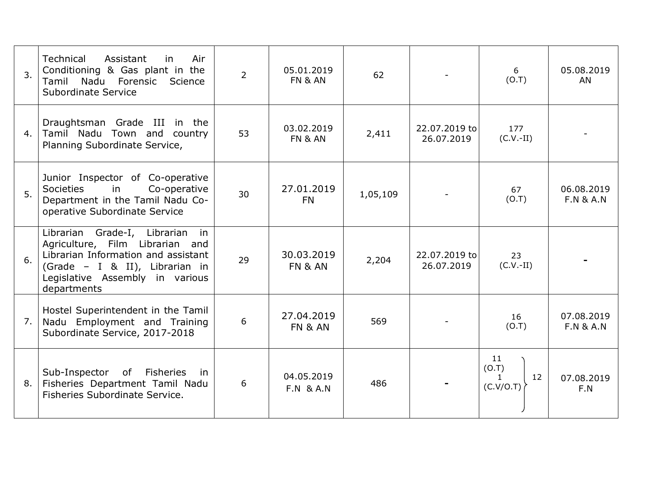| 3.  | <b>Technical</b><br>Air<br>Assistant<br>in<br>Conditioning & Gas plant in the<br>Tamil Nadu Forensic<br>Science<br>Subordinate Service                                                           | $\overline{2}$ | 05.01.2019<br>FN & AN              | 62       |                             | 6<br>(0.7)                                     | 05.08.2019<br>AN                   |
|-----|--------------------------------------------------------------------------------------------------------------------------------------------------------------------------------------------------|----------------|------------------------------------|----------|-----------------------------|------------------------------------------------|------------------------------------|
| 4.  | Draughtsman Grade III in the<br>Tamil Nadu Town and country<br>Planning Subordinate Service,                                                                                                     | 53             | 03.02.2019<br>FN & AN              | 2,411    | 22.07.2019 to<br>26.07.2019 | 177<br>$(C.V.-II)$                             |                                    |
| 5.  | Junior Inspector of Co-operative<br>Societies<br>Co-operative<br>in<br>Department in the Tamil Nadu Co-<br>operative Subordinate Service                                                         | 30             | 27.01.2019<br><b>FN</b>            | 1,05,109 |                             | 67<br>(0.7)                                    | 06.08.2019<br><b>F.N &amp; A.N</b> |
| 6.  | Librarian Grade-I, Librarian<br>in<br>Agriculture, Film Librarian and<br>Librarian Information and assistant<br>(Grade - I & II), Librarian in<br>Legislative Assembly in various<br>departments | 29             | 30.03.2019<br>FN & AN              | 2,204    | 22.07.2019 to<br>26.07.2019 | 23<br>$(C.V.-II)$                              |                                    |
| 7.1 | Hostel Superintendent in the Tamil<br>Nadu Employment and Training<br>Subordinate Service, 2017-2018                                                                                             | 6              | 27.04.2019<br><b>FN &amp; AN</b>   | 569      |                             | 16<br>(0.7)                                    | 07.08.2019<br><b>F.N &amp; A.N</b> |
| 8.  | Sub-Inspector of<br>Fisheries<br>-in<br>Fisheries Department Tamil Nadu<br>Fisheries Subordinate Service.                                                                                        | 6              | 04.05.2019<br><b>F.N &amp; A.N</b> | 486      |                             | 11<br>(0.7)<br>12<br>$\mathbf{1}$<br>(C.V/O.T) | 07.08.2019<br>F.N                  |